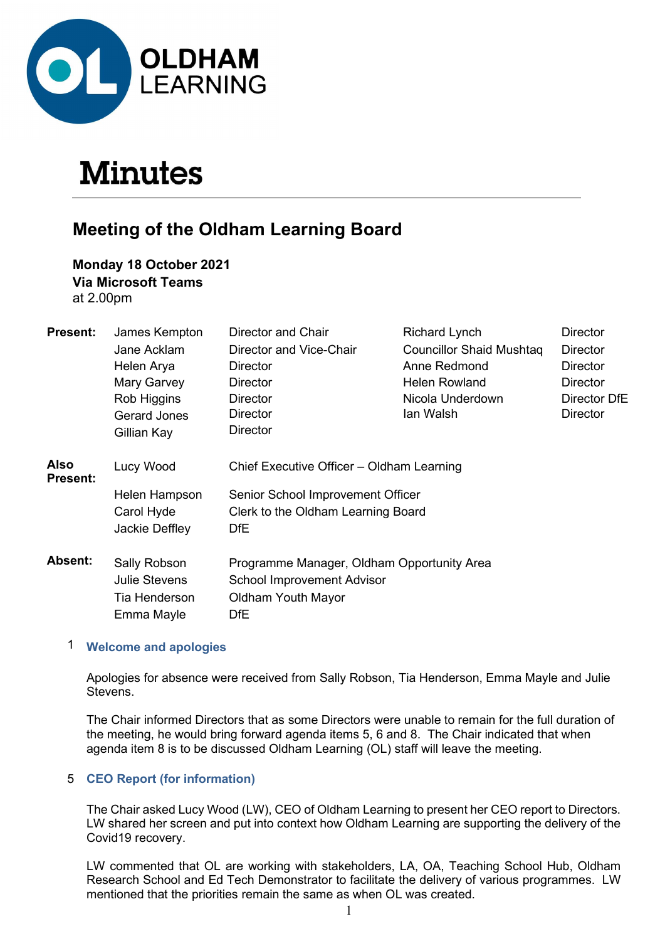

# **Minutes**

# Meeting of the Oldham Learning Board

Monday 18 October 2021 Via Microsoft Teams at 2.00pm

| <b>Present:</b>                | James Kempton        | Director and Chair                         | <b>Richard Lynch</b>            | <b>Director</b> |
|--------------------------------|----------------------|--------------------------------------------|---------------------------------|-----------------|
|                                | Jane Acklam          | Director and Vice-Chair                    | <b>Councillor Shaid Mushtag</b> | <b>Director</b> |
|                                | Helen Arya           | Director                                   | Anne Redmond                    | <b>Director</b> |
|                                | Mary Garvey          | <b>Director</b>                            | Helen Rowland                   | <b>Director</b> |
|                                | Rob Higgins          | <b>Director</b>                            | Nicola Underdown                | Director DfE    |
|                                | <b>Gerard Jones</b>  | Director                                   | lan Walsh                       | <b>Director</b> |
|                                | Gillian Kay          | <b>Director</b>                            |                                 |                 |
| <b>Also</b><br><b>Present:</b> | Lucy Wood            | Chief Executive Officer - Oldham Learning  |                                 |                 |
|                                | Helen Hampson        | Senior School Improvement Officer          |                                 |                 |
|                                | Carol Hyde           | Clerk to the Oldham Learning Board         |                                 |                 |
|                                | Jackie Deffley       | DfE                                        |                                 |                 |
| Absent:                        | Sally Robson         | Programme Manager, Oldham Opportunity Area |                                 |                 |
|                                | <b>Julie Stevens</b> | <b>School Improvement Advisor</b>          |                                 |                 |
|                                | Tia Henderson        | Oldham Youth Mayor                         |                                 |                 |
|                                | Emma Mayle           | <b>DfE</b>                                 |                                 |                 |

# 1 Welcome and apologies

 Apologies for absence were received from Sally Robson, Tia Henderson, Emma Mayle and Julie Stevens.

The Chair informed Directors that as some Directors were unable to remain for the full duration of the meeting, he would bring forward agenda items 5, 6 and 8. The Chair indicated that when agenda item 8 is to be discussed Oldham Learning (OL) staff will leave the meeting.

# 5 CEO Report (for information)

The Chair asked Lucy Wood (LW), CEO of Oldham Learning to present her CEO report to Directors. LW shared her screen and put into context how Oldham Learning are supporting the delivery of the Covid19 recovery.

LW commented that OL are working with stakeholders, LA, OA, Teaching School Hub, Oldham Research School and Ed Tech Demonstrator to facilitate the delivery of various programmes. LW mentioned that the priorities remain the same as when OL was created.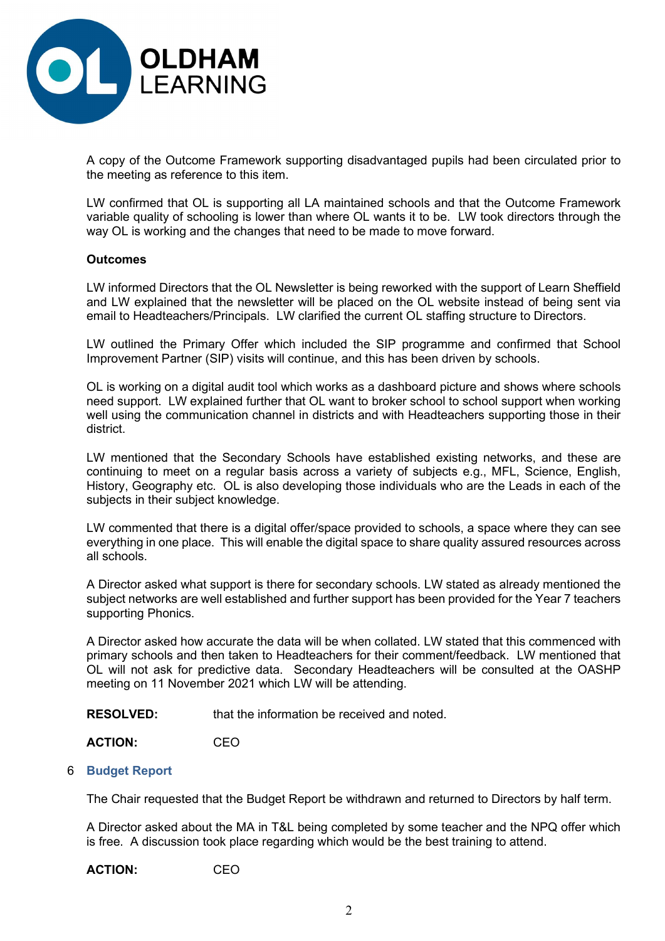

A copy of the Outcome Framework supporting disadvantaged pupils had been circulated prior to the meeting as reference to this item.

LW confirmed that OL is supporting all LA maintained schools and that the Outcome Framework variable quality of schooling is lower than where OL wants it to be. LW took directors through the way OL is working and the changes that need to be made to move forward.

#### **Outcomes**

LW informed Directors that the OL Newsletter is being reworked with the support of Learn Sheffield and LW explained that the newsletter will be placed on the OL website instead of being sent via email to Headteachers/Principals. LW clarified the current OL staffing structure to Directors.

LW outlined the Primary Offer which included the SIP programme and confirmed that School Improvement Partner (SIP) visits will continue, and this has been driven by schools.

OL is working on a digital audit tool which works as a dashboard picture and shows where schools need support. LW explained further that OL want to broker school to school support when working well using the communication channel in districts and with Headteachers supporting those in their district.

LW mentioned that the Secondary Schools have established existing networks, and these are continuing to meet on a regular basis across a variety of subjects e.g., MFL, Science, English, History, Geography etc. OL is also developing those individuals who are the Leads in each of the subjects in their subject knowledge.

LW commented that there is a digital offer/space provided to schools, a space where they can see everything in one place. This will enable the digital space to share quality assured resources across all schools.

A Director asked what support is there for secondary schools. LW stated as already mentioned the subject networks are well established and further support has been provided for the Year 7 teachers supporting Phonics.

A Director asked how accurate the data will be when collated. LW stated that this commenced with primary schools and then taken to Headteachers for their comment/feedback. LW mentioned that OL will not ask for predictive data. Secondary Headteachers will be consulted at the OASHP meeting on 11 November 2021 which LW will be attending.

RESOLVED: that the information be received and noted.

ACTION: CEO

#### 6 Budget Report

The Chair requested that the Budget Report be withdrawn and returned to Directors by half term.

A Director asked about the MA in T&L being completed by some teacher and the NPQ offer which is free. A discussion took place regarding which would be the best training to attend.

ACTION: CEO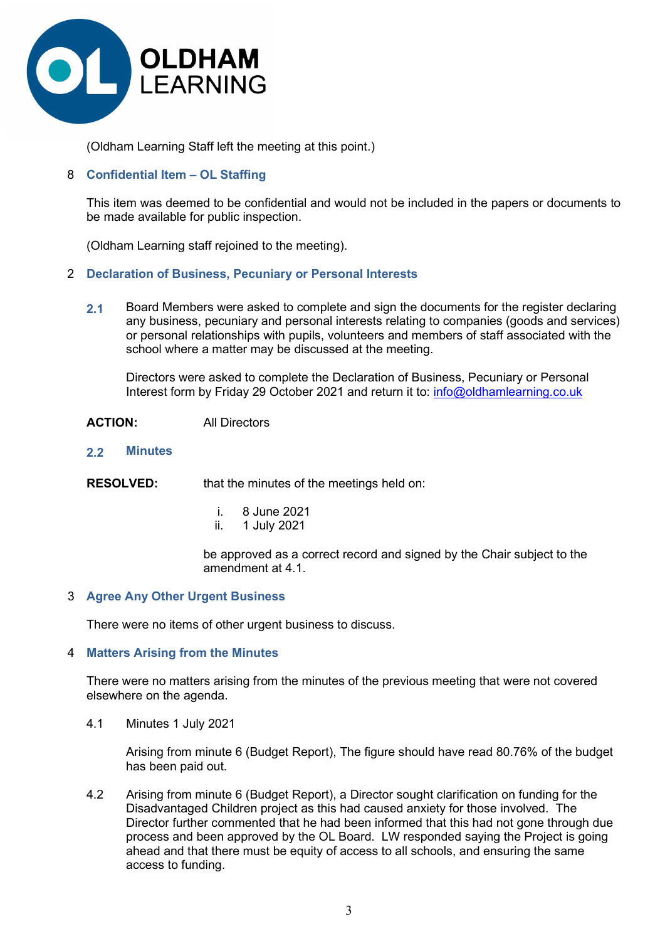

(Oldham Learning Staff left the meeting at this point.)

# 8 Confidential Item – OL Staffing

 This item was deemed to be confidential and would not be included in the papers or documents to be made available for public inspection.

(Oldham Learning staff rejoined to the meeting).

#### 2 Declaration of Business, Pecuniary or Personal Interests

2.1 Board Members were asked to complete and sign the documents for the register declaring any business, pecuniary and personal interests relating to companies (goods and services) or personal relationships with pupils, volunteers and members of staff associated with the school where a matter may be discussed at the meeting.

Directors were asked to complete the Declaration of Business, Pecuniary or Personal Interest form by Friday 29 October 2021 and return it to: info@oldhamlearning.co.uk

- ACTION: All Directors
- 2.2 Minutes

**RESOLVED:** that the minutes of the meetings held on:

- i. 8 June 2021
- ii. 1 July 2021

be approved as a correct record and signed by the Chair subject to the amendment at 4.1.

#### 3 Agree Any Other Urgent Business

There were no items of other urgent business to discuss.

#### 4 Matters Arising from the Minutes

 There were no matters arising from the minutes of the previous meeting that were not covered elsewhere on the agenda.

4.1 Minutes 1 July 2021

 Arising from minute 6 (Budget Report), The figure should have read 80.76% of the budget has been paid out.

 4.2 Arising from minute 6 (Budget Report), a Director sought clarification on funding for the Disadvantaged Children project as this had caused anxiety for those involved. The Director further commented that he had been informed that this had not gone through due process and been approved by the OL Board. LW responded saying the Project is going ahead and that there must be equity of access to all schools, and ensuring the same access to funding.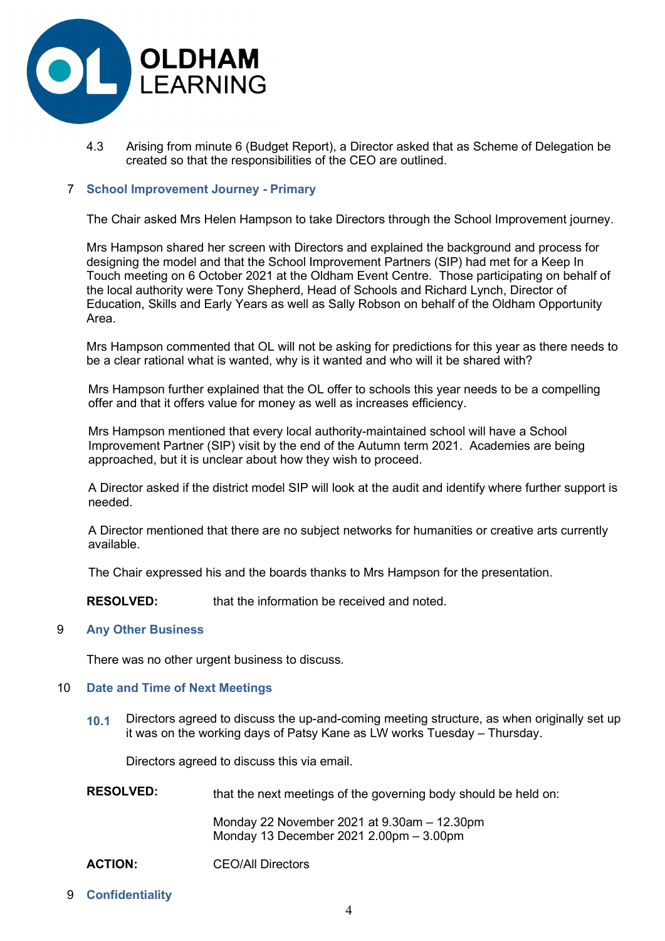

 4.3 Arising from minute 6 (Budget Report), a Director asked that as Scheme of Delegation be created so that the responsibilities of the CEO are outlined.

# 7 School Improvement Journey - Primary

The Chair asked Mrs Helen Hampson to take Directors through the School Improvement journey.

Mrs Hampson shared her screen with Directors and explained the background and process for designing the model and that the School Improvement Partners (SIP) had met for a Keep In Touch meeting on 6 October 2021 at the Oldham Event Centre. Those participating on behalf of the local authority were Tony Shepherd, Head of Schools and Richard Lynch, Director of Education, Skills and Early Years as well as Sally Robson on behalf of the Oldham Opportunity Area.

Mrs Hampson commented that OL will not be asking for predictions for this year as there needs to be a clear rational what is wanted, why is it wanted and who will it be shared with?

Mrs Hampson further explained that the OL offer to schools this year needs to be a compelling offer and that it offers value for money as well as increases efficiency.

Mrs Hampson mentioned that every local authority-maintained school will have a School Improvement Partner (SIP) visit by the end of the Autumn term 2021. Academies are being approached, but it is unclear about how they wish to proceed.

A Director asked if the district model SIP will look at the audit and identify where further support is needed.

A Director mentioned that there are no subject networks for humanities or creative arts currently available.

The Chair expressed his and the boards thanks to Mrs Hampson for the presentation.

RESOLVED: that the information be received and noted.

#### 9 Any Other Business

There was no other urgent business to discuss.

#### 10 Date and Time of Next Meetings

10.1 Directors agreed to discuss the up-and-coming meeting structure, as when originally set up it was on the working days of Patsy Kane as LW works Tuesday – Thursday.

Directors agreed to discuss this via email.

| <b>RESOLVED:</b> | that the next meetings of the governing body should be held on: |  |
|------------------|-----------------------------------------------------------------|--|
|                  | Monday 22 November 2021 at $9.30$ am $-12.30$ pm                |  |

Monday 13 December 2021 2.00pm – 3.00pm

ACTION: CEO/All Directors

# 9 Confidentiality